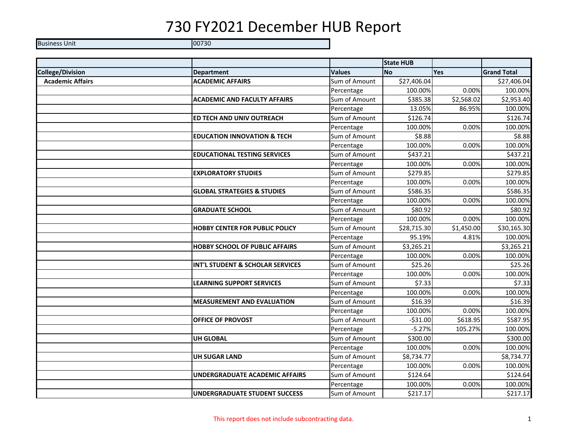Business Unit 100730

|                         |                                        |               | <b>State HUB</b> |            |                    |
|-------------------------|----------------------------------------|---------------|------------------|------------|--------------------|
| <b>College/Division</b> | <b>Department</b>                      | <b>Values</b> | <b>No</b>        | <b>Yes</b> | <b>Grand Total</b> |
| <b>Academic Affairs</b> | <b>ACADEMIC AFFAIRS</b>                | Sum of Amount | \$27,406.04      |            | \$27,406.04        |
|                         |                                        | Percentage    | 100.00%          | 0.00%      | 100.00%            |
|                         | <b>ACADEMIC AND FACULTY AFFAIRS</b>    | Sum of Amount | \$385.38         | \$2,568.02 | \$2,953.40         |
|                         |                                        | Percentage    | 13.05%           | 86.95%     | 100.00%            |
|                         | ED TECH AND UNIV OUTREACH              | Sum of Amount | \$126.74         |            | \$126.74           |
|                         |                                        | Percentage    | 100.00%          | 0.00%      | 100.00%            |
|                         | <b>EDUCATION INNOVATION &amp; TECH</b> | Sum of Amount | \$8.88           |            | \$8.88             |
|                         |                                        | Percentage    | 100.00%          | 0.00%      | 100.00%            |
|                         | <b>EDUCATIONAL TESTING SERVICES</b>    | Sum of Amount | \$437.21         |            | \$437.21           |
|                         |                                        | Percentage    | 100.00%          | 0.00%      | 100.00%            |
|                         | <b>EXPLORATORY STUDIES</b>             | Sum of Amount | \$279.85         |            | \$279.85           |
|                         |                                        | Percentage    | 100.00%          | 0.00%      | 100.00%            |
|                         | <b>GLOBAL STRATEGIES &amp; STUDIES</b> | Sum of Amount | \$586.35         |            | \$586.35           |
|                         |                                        | Percentage    | 100.00%          | 0.00%      | 100.00%            |
|                         | <b>GRADUATE SCHOOL</b>                 | Sum of Amount | \$80.92          |            | \$80.92            |
|                         |                                        | Percentage    | 100.00%          | 0.00%      | 100.00%            |
|                         | <b>HOBBY CENTER FOR PUBLIC POLICY</b>  | Sum of Amount | \$28,715.30      | \$1,450.00 | \$30,165.30        |
|                         |                                        | Percentage    | 95.19%           | 4.81%      | 100.00%            |
|                         | <b>HOBBY SCHOOL OF PUBLIC AFFAIRS</b>  | Sum of Amount | \$3,265.21       |            | \$3,265.21         |
|                         |                                        | Percentage    | 100.00%          | 0.00%      | 100.00%            |
|                         | INT'L STUDENT & SCHOLAR SERVICES       | Sum of Amount | \$25.26          |            | \$25.26            |
|                         |                                        | Percentage    | 100.00%          | 0.00%      | 100.00%            |
|                         | <b>LEARNING SUPPORT SERVICES</b>       | Sum of Amount | \$7.33           |            | \$7.33             |
|                         |                                        | Percentage    | 100.00%          | 0.00%      | 100.00%            |
|                         | <b>MEASUREMENT AND EVALUATION</b>      | Sum of Amount | \$16.39          |            | \$16.39            |
|                         |                                        | Percentage    | 100.00%          | 0.00%      | 100.00%            |
|                         | <b>OFFICE OF PROVOST</b>               | Sum of Amount | $-531.00$        | \$618.95   | \$587.95           |
|                         |                                        | Percentage    | $-5.27%$         | 105.27%    | 100.00%            |
|                         | <b>UH GLOBAL</b>                       | Sum of Amount | \$300.00         |            | \$300.00           |
|                         |                                        | Percentage    | 100.00%          | 0.00%      | 100.00%            |
|                         | <b>UH SUGAR LAND</b>                   | Sum of Amount | \$8,734.77       |            | \$8,734.77         |
|                         |                                        | Percentage    | 100.00%          | 0.00%      | 100.00%            |
|                         | <b>UNDERGRADUATE ACADEMIC AFFAIRS</b>  | Sum of Amount | \$124.64         |            | \$124.64           |
|                         |                                        | Percentage    | 100.00%          | 0.00%      | 100.00%            |
|                         | <b>UNDERGRADUATE STUDENT SUCCESS</b>   | Sum of Amount | \$217.17         |            | \$217.17           |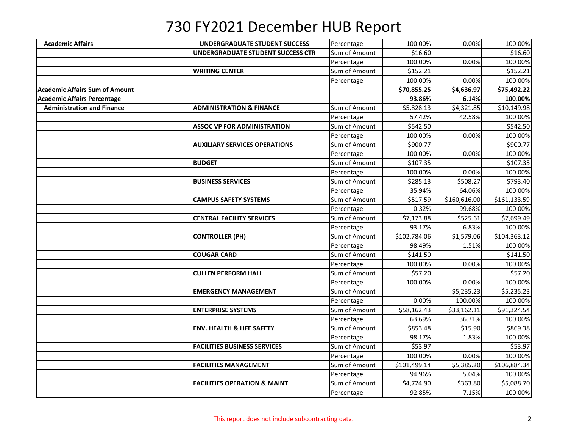| <b>Academic Affairs</b>               | <b>UNDERGRADUATE STUDENT SUCCESS</b>    | Percentage    | 100.00%      | 0.00%        | 100.00%      |
|---------------------------------------|-----------------------------------------|---------------|--------------|--------------|--------------|
|                                       | UNDERGRADUATE STUDENT SUCCESS CTR       | Sum of Amount | \$16.60      |              | \$16.60      |
|                                       |                                         | Percentage    | 100.00%      | 0.00%        | 100.00%      |
|                                       | <b>WRITING CENTER</b>                   | Sum of Amount | \$152.21     |              | \$152.21     |
|                                       |                                         | Percentage    | 100.00%      | 0.00%        | 100.00%      |
| <b>Academic Affairs Sum of Amount</b> |                                         |               | \$70,855.25  | \$4,636.97   | \$75,492.22  |
| <b>Academic Affairs Percentage</b>    |                                         |               | 93.86%       | 6.14%        | 100.00%      |
| <b>Administration and Finance</b>     | <b>ADMINISTRATION &amp; FINANCE</b>     | Sum of Amount | \$5,828.13   | \$4,321.85   | \$10,149.98  |
|                                       |                                         | Percentage    | 57.42%       | 42.58%       | 100.00%      |
|                                       | <b>ASSOC VP FOR ADMINISTRATION</b>      | Sum of Amount | \$542.50     |              | \$542.50     |
|                                       |                                         | Percentage    | 100.00%      | 0.00%        | 100.00%      |
|                                       | <b>AUXILIARY SERVICES OPERATIONS</b>    | Sum of Amount | \$900.77     |              | \$900.77     |
|                                       |                                         | Percentage    | 100.00%      | 0.00%        | 100.00%      |
|                                       | <b>BUDGET</b>                           | Sum of Amount | \$107.35     |              | \$107.35     |
|                                       |                                         | Percentage    | 100.00%      | 0.00%        | 100.00%      |
|                                       | <b>BUSINESS SERVICES</b>                | Sum of Amount | \$285.13     | \$508.27     | \$793.40     |
|                                       |                                         | Percentage    | 35.94%       | 64.06%       | 100.00%      |
|                                       | <b>CAMPUS SAFETY SYSTEMS</b>            | Sum of Amount | \$517.59     | \$160,616.00 | \$161,133.59 |
|                                       |                                         | Percentage    | 0.32%        | 99.68%       | 100.00%      |
|                                       | <b>CENTRAL FACILITY SERVICES</b>        | Sum of Amount | \$7,173.88   | \$525.61     | \$7,699.49   |
|                                       |                                         | Percentage    | 93.17%       | 6.83%        | 100.00%      |
|                                       | <b>CONTROLLER (PH)</b>                  | Sum of Amount | \$102,784.06 | \$1,579.06   | \$104,363.12 |
|                                       |                                         | Percentage    | 98.49%       | 1.51%        | 100.00%      |
|                                       | <b>COUGAR CARD</b>                      | Sum of Amount | \$141.50     |              | \$141.50     |
|                                       |                                         | Percentage    | 100.00%      | 0.00%        | 100.00%      |
|                                       | <b>CULLEN PERFORM HALL</b>              | Sum of Amount | \$57.20      |              | \$57.20      |
|                                       |                                         | Percentage    | 100.00%      | 0.00%        | 100.00%      |
|                                       | <b>EMERGENCY MANAGEMENT</b>             | Sum of Amount |              | \$5,235.23   | \$5,235.23   |
|                                       |                                         | Percentage    | 0.00%        | 100.00%      | 100.00%      |
|                                       | <b>ENTERPRISE SYSTEMS</b>               | Sum of Amount | \$58,162.43  | \$33,162.11  | \$91,324.54  |
|                                       |                                         | Percentage    | 63.69%       | 36.31%       | 100.00%      |
|                                       | <b>ENV. HEALTH &amp; LIFE SAFETY</b>    | Sum of Amount | \$853.48     | \$15.90      | \$869.38     |
|                                       |                                         | Percentage    | 98.17%       | 1.83%        | 100.00%      |
|                                       | <b>FACILITIES BUSINESS SERVICES</b>     | Sum of Amount | \$53.97      |              | \$53.97      |
|                                       |                                         | Percentage    | 100.00%      | 0.00%        | 100.00%      |
|                                       | <b>FACILITIES MANAGEMENT</b>            | Sum of Amount | \$101,499.14 | \$5,385.20   | \$106,884.34 |
|                                       |                                         | Percentage    | 94.96%       | 5.04%        | 100.00%      |
|                                       | <b>FACILITIES OPERATION &amp; MAINT</b> | Sum of Amount | \$4,724.90   | \$363.80     | \$5,088.70   |
|                                       |                                         | Percentage    | 92.85%       | 7.15%        | 100.00%      |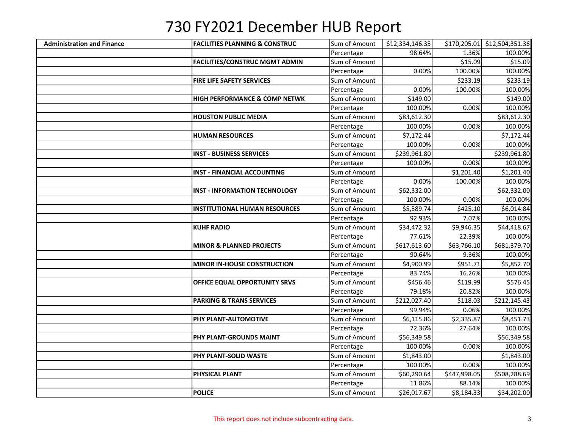| <b>Administration and Finance</b> | <b>FACILITIES PLANNING &amp; CONSTRUC</b> | Sum of Amount | \$12,334,146.35 |              | \$170,205.01 \$12,504,351.36 |
|-----------------------------------|-------------------------------------------|---------------|-----------------|--------------|------------------------------|
|                                   |                                           | Percentage    | 98.64%          | 1.36%        | 100.00%                      |
|                                   | <b>FACILITIES/CONSTRUC MGMT ADMIN</b>     | Sum of Amount |                 | \$15.09      | \$15.09                      |
|                                   |                                           | Percentage    | 0.00%           | 100.00%      | 100.00%                      |
|                                   | <b>FIRE LIFE SAFETY SERVICES</b>          | Sum of Amount |                 | \$233.19     | \$233.19                     |
|                                   |                                           | Percentage    | 0.00%           | 100.00%      | 100.00%                      |
|                                   | <b>HIGH PERFORMANCE &amp; COMP NETWK</b>  | Sum of Amount | \$149.00        |              | \$149.00                     |
|                                   |                                           | Percentage    | 100.00%         | 0.00%        | 100.00%                      |
|                                   | <b>HOUSTON PUBLIC MEDIA</b>               | Sum of Amount | \$83,612.30     |              | \$83,612.30                  |
|                                   |                                           | Percentage    | 100.00%         | 0.00%        | 100.00%                      |
|                                   | <b>HUMAN RESOURCES</b>                    | Sum of Amount | \$7,172.44      |              | \$7,172.44                   |
|                                   |                                           | Percentage    | 100.00%         | 0.00%        | 100.00%                      |
|                                   | <b>INST - BUSINESS SERVICES</b>           | Sum of Amount | \$239,961.80    |              | \$239,961.80                 |
|                                   |                                           | Percentage    | 100.00%         | 0.00%        | 100.00%                      |
|                                   | <b>INST - FINANCIAL ACCOUNTING</b>        | Sum of Amount |                 | \$1,201.40   | \$1,201.40                   |
|                                   |                                           | Percentage    | 0.00%           | 100.00%      | 100.00%                      |
|                                   | <b>INST - INFORMATION TECHNOLOGY</b>      | Sum of Amount | 562,332.00      |              | \$62,332.00                  |
|                                   |                                           | Percentage    | 100.00%         | 0.00%        | 100.00%                      |
|                                   | <b>INSTITUTIONAL HUMAN RESOURCES</b>      | Sum of Amount | \$5,589.74      | \$425.10     | \$6,014.84                   |
|                                   |                                           | Percentage    | 92.93%          | 7.07%        | 100.00%                      |
|                                   | <b>KUHF RADIO</b>                         | Sum of Amount | \$34,472.32     | \$9,946.35   | \$44,418.67                  |
|                                   |                                           | Percentage    | 77.61%          | 22.39%       | 100.00%                      |
|                                   | <b>MINOR &amp; PLANNED PROJECTS</b>       | Sum of Amount | \$617,613.60    | \$63,766.10  | \$681,379.70                 |
|                                   |                                           | Percentage    | 90.64%          | 9.36%        | 100.00%                      |
|                                   | <b>MINOR IN-HOUSE CONSTRUCTION</b>        | Sum of Amount | \$4,900.99      | \$951.71     | \$5,852.70                   |
|                                   |                                           | Percentage    | 83.74%          | 16.26%       | 100.00%                      |
|                                   | OFFICE EQUAL OPPORTUNITY SRVS             | Sum of Amount | \$456.46        | \$119.99     | \$576.45                     |
|                                   |                                           | Percentage    | 79.18%          | 20.82%       | 100.00%                      |
|                                   | <b>PARKING &amp; TRANS SERVICES</b>       | Sum of Amount | \$212,027.40    | \$118.03     | \$212,145.43                 |
|                                   |                                           | Percentage    | 99.94%          | 0.06%        | 100.00%                      |
|                                   | PHY PLANT-AUTOMOTIVE                      | Sum of Amount | \$6,115.86      | \$2,335.87   | \$8,451.73                   |
|                                   |                                           | Percentage    | 72.36%          | 27.64%       | 100.00%                      |
|                                   | PHY PLANT-GROUNDS MAINT                   | Sum of Amount | \$56,349.58     |              | \$56,349.58                  |
|                                   |                                           | Percentage    | 100.00%         | 0.00%        | 100.00%                      |
|                                   | PHY PLANT-SOLID WASTE                     | Sum of Amount | \$1,843.00      |              | \$1,843.00                   |
|                                   |                                           | Percentage    | 100.00%         | 0.00%        | 100.00%                      |
|                                   | <b>PHYSICAL PLANT</b>                     | Sum of Amount | \$60,290.64     | \$447,998.05 | \$508,288.69                 |
|                                   |                                           | Percentage    | 11.86%          | 88.14%       | 100.00%                      |
|                                   | <b>POLICE</b>                             | Sum of Amount | \$26,017.67     | \$8,184.33   | \$34,202.00                  |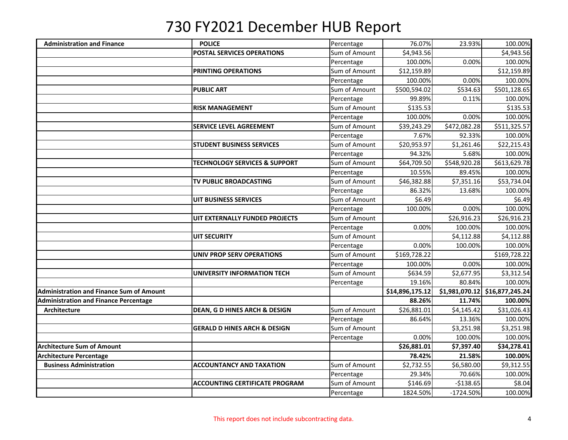| <b>Administration and Finance</b>               | <b>POLICE</b>                            | Percentage    | 76.07%          | 23.93%         | 100.00%         |
|-------------------------------------------------|------------------------------------------|---------------|-----------------|----------------|-----------------|
|                                                 | <b>POSTAL SERVICES OPERATIONS</b>        | Sum of Amount | \$4,943.56      |                | \$4,943.56      |
|                                                 |                                          | Percentage    | 100.00%         | 0.00%          | 100.00%         |
|                                                 | PRINTING OPERATIONS                      | Sum of Amount | \$12,159.89     |                | \$12,159.89     |
|                                                 |                                          | Percentage    | 100.00%         | 0.00%          | 100.00%         |
|                                                 | <b>PUBLIC ART</b>                        | Sum of Amount | \$500,594.02    | \$534.63       | \$501,128.65    |
|                                                 |                                          | Percentage    | 99.89%          | 0.11%          | 100.00%         |
|                                                 | <b>RISK MANAGEMENT</b>                   | Sum of Amount | \$135.53        |                | \$135.53        |
|                                                 |                                          | Percentage    | 100.00%         | 0.00%          | 100.00%         |
|                                                 | SERVICE LEVEL AGREEMENT                  | Sum of Amount | \$39,243.29     | \$472,082.28   | \$511,325.57    |
|                                                 |                                          | Percentage    | 7.67%           | 92.33%         | 100.00%         |
|                                                 | <b>STUDENT BUSINESS SERVICES</b>         | Sum of Amount | \$20,953.97     | \$1,261.46     | \$22,215.43     |
|                                                 |                                          | Percentage    | 94.32%          | 5.68%          | 100.00%         |
|                                                 | <b>TECHNOLOGY SERVICES &amp; SUPPORT</b> | Sum of Amount | \$64,709.50     | \$548,920.28   | \$613,629.78    |
|                                                 |                                          | Percentage    | 10.55%          | 89.45%         | 100.00%         |
|                                                 | TV PUBLIC BROADCASTING                   | Sum of Amount | \$46,382.88     | \$7,351.16     | \$53,734.04     |
|                                                 |                                          | Percentage    | 86.32%          | 13.68%         | 100.00%         |
|                                                 | <b>UIT BUSINESS SERVICES</b>             | Sum of Amount | \$6.49          |                | \$6.49          |
|                                                 |                                          | Percentage    | 100.00%         | 0.00%          | 100.00%         |
|                                                 | UIT EXTERNALLY FUNDED PROJECTS           | Sum of Amount |                 | \$26,916.23    | \$26,916.23     |
|                                                 |                                          | Percentage    | 0.00%           | 100.00%        | 100.00%         |
|                                                 | <b>UIT SECURITY</b>                      | Sum of Amount |                 | \$4,112.88     | \$4,112.88      |
|                                                 |                                          | Percentage    | 0.00%           | 100.00%        | 100.00%         |
|                                                 | <b>UNIV PROP SERV OPERATIONS</b>         | Sum of Amount | \$169,728.22    |                | \$169,728.22    |
|                                                 |                                          | Percentage    | 100.00%         | 0.00%          | 100.00%         |
|                                                 | UNIVERSITY INFORMATION TECH              | Sum of Amount | \$634.59        | \$2,677.95     | \$3,312.54      |
|                                                 |                                          | Percentage    | 19.16%          | 80.84%         | 100.00%         |
| <b>Administration and Finance Sum of Amount</b> |                                          |               | \$14,896,175.12 | \$1,981,070.12 | \$16,877,245.24 |
| <b>Administration and Finance Percentage</b>    |                                          |               | 88.26%          | 11.74%         | 100.00%         |
| Architecture                                    | <b>DEAN, G D HINES ARCH &amp; DESIGN</b> | Sum of Amount | \$26,881.01     | \$4,145.42     | \$31,026.43     |
|                                                 |                                          | Percentage    | 86.64%          | 13.36%         | 100.00%         |
|                                                 | <b>GERALD D HINES ARCH &amp; DESIGN</b>  | Sum of Amount |                 | \$3,251.98     | \$3,251.98      |
|                                                 |                                          | Percentage    | 0.00%           | 100.00%        | 100.00%         |
| <b>Architecture Sum of Amount</b>               |                                          |               | \$26,881.01     | \$7,397.40     | \$34,278.41     |
| <b>Architecture Percentage</b>                  |                                          |               | 78.42%          | 21.58%         | 100.00%         |
| <b>Business Administration</b>                  | <b>ACCOUNTANCY AND TAXATION</b>          | Sum of Amount | \$2,732.55      | \$6,580.00     | \$9,312.55      |
|                                                 |                                          | Percentage    | 29.34%          | 70.66%         | 100.00%         |
|                                                 | <b>ACCOUNTING CERTIFICATE PROGRAM</b>    | Sum of Amount | \$146.69        | $-$138.65$     | \$8.04          |
|                                                 |                                          | Percentage    | 1824.50%        | $-1724.50%$    | 100.00%         |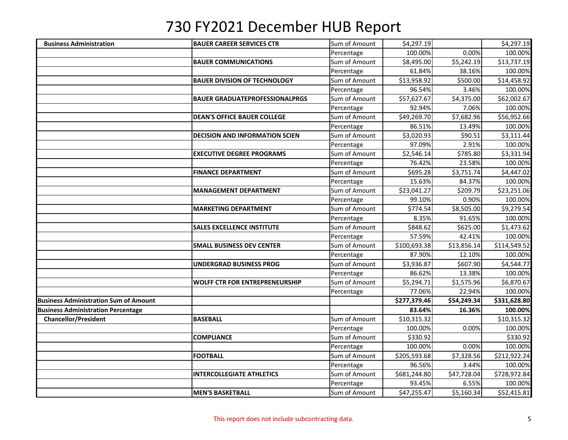| <b>Business Administration</b>               | <b>BAUER CAREER SERVICES CTR</b>      | Sum of Amount | \$4,297.19   |             | \$4,297.19   |
|----------------------------------------------|---------------------------------------|---------------|--------------|-------------|--------------|
|                                              |                                       | Percentage    | 100.00%      | 0.00%       | 100.00%      |
|                                              | <b>BAUER COMMUNICATIONS</b>           | Sum of Amount | \$8,495.00   | \$5,242.19  | \$13,737.19  |
|                                              |                                       | Percentage    | 61.84%       | 38.16%      | 100.00%      |
|                                              | <b>BAUER DIVISION OF TECHNOLOGY</b>   | Sum of Amount | \$13,958.92  | \$500.00    | \$14,458.92  |
|                                              |                                       | Percentage    | 96.54%       | 3.46%       | 100.00%      |
|                                              | <b>BAUER GRADUATEPROFESSIONALPRGS</b> | Sum of Amount | \$57,627.67  | \$4,375.00  | \$62,002.67  |
|                                              |                                       | Percentage    | 92.94%       | 7.06%       | 100.00%      |
|                                              | <b>DEAN'S OFFICE BAUER COLLEGE</b>    | Sum of Amount | \$49,269.70  | \$7,682.96  | \$56,952.66  |
|                                              |                                       | Percentage    | 86.51%       | 13.49%      | 100.00%      |
|                                              | <b>DECISION AND INFORMATION SCIEN</b> | Sum of Amount | \$3,020.93   | \$90.51     | \$3,111.44   |
|                                              |                                       | Percentage    | 97.09%       | 2.91%       | 100.00%      |
|                                              | <b>EXECUTIVE DEGREE PROGRAMS</b>      | Sum of Amount | \$2,546.14   | \$785.80    | \$3,331.94   |
|                                              |                                       | Percentage    | 76.42%       | 23.58%      | 100.00%      |
|                                              | <b>FINANCE DEPARTMENT</b>             | Sum of Amount | \$695.28     | \$3,751.74  | \$4,447.02   |
|                                              |                                       | Percentage    | 15.63%       | 84.37%      | 100.00%      |
|                                              | <b>MANAGEMENT DEPARTMENT</b>          | Sum of Amount | \$23,041.27  | \$209.79    | \$23,251.06  |
|                                              |                                       | Percentage    | 99.10%       | 0.90%       | 100.00%      |
|                                              | <b>MARKETING DEPARTMENT</b>           | Sum of Amount | \$774.54     | \$8,505.00  | \$9,279.54   |
|                                              |                                       | Percentage    | 8.35%        | 91.65%      | 100.00%      |
|                                              | <b>SALES EXCELLENCE INSTITUTE</b>     | Sum of Amount | \$848.62     | \$625.00    | \$1,473.62   |
|                                              |                                       | Percentage    | 57.59%       | 42.41%      | 100.00%      |
|                                              | <b>SMALL BUSINESS DEV CENTER</b>      | Sum of Amount | \$100,693.38 | \$13,856.14 | \$114,549.52 |
|                                              |                                       | Percentage    | 87.90%       | 12.10%      | 100.00%      |
|                                              | <b>UNDERGRAD BUSINESS PROG</b>        | Sum of Amount | \$3,936.87   | \$607.90    | \$4,544.77   |
|                                              |                                       | Percentage    | 86.62%       | 13.38%      | 100.00%      |
|                                              | <b>WOLFF CTR FOR ENTREPRENEURSHIP</b> | Sum of Amount | \$5,294.71   | \$1,575.96  | \$6,870.67   |
|                                              |                                       | Percentage    | 77.06%       | 22.94%      | 100.00%      |
| <b>Business Administration Sum of Amount</b> |                                       |               | \$277,379.46 | \$54,249.34 | \$331,628.80 |
| <b>Business Administration Percentage</b>    |                                       |               | 83.64%       | 16.36%      | 100.00%      |
| <b>Chancellor/President</b>                  | <b>BASEBALL</b>                       | Sum of Amount | \$10,315.32  |             | \$10,315.32  |
|                                              |                                       | Percentage    | 100.00%      | 0.00%       | 100.00%      |
|                                              | <b>COMPLIANCE</b>                     | Sum of Amount | \$330.92     |             | \$330.92     |
|                                              |                                       | Percentage    | 100.00%      | 0.00%       | 100.00%      |
|                                              | <b>FOOTBALL</b>                       | Sum of Amount | \$205,593.68 | \$7,328.56  | \$212,922.24 |
|                                              |                                       | Percentage    | 96.56%       | 3.44%       | 100.00%      |
|                                              | <b>INTERCOLLEGIATE ATHLETICS</b>      | Sum of Amount | \$681,244.80 | \$47,728.04 | \$728,972.84 |
|                                              |                                       | Percentage    | 93.45%       | 6.55%       | 100.00%      |
|                                              | <b>MEN'S BASKETBALL</b>               | Sum of Amount | \$47,255.47  | \$5,160.34  | \$52,415.81  |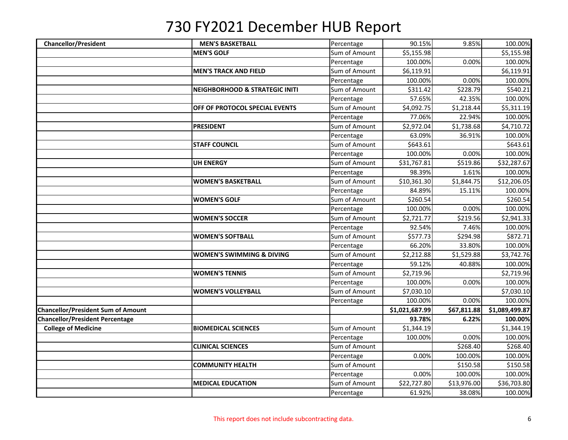| <b>Chancellor/President</b>               | <b>MEN'S BASKETBALL</b>                   | Percentage    | 90.15%         | 9.85%       | 100.00%        |
|-------------------------------------------|-------------------------------------------|---------------|----------------|-------------|----------------|
|                                           | <b>MEN'S GOLF</b>                         | Sum of Amount | \$5,155.98     |             | \$5,155.98     |
|                                           |                                           | Percentage    | 100.00%        | 0.00%       | 100.00%        |
|                                           | <b>MEN'S TRACK AND FIELD</b>              | Sum of Amount | \$6,119.91     |             | \$6,119.91     |
|                                           |                                           | Percentage    | 100.00%        | 0.00%       | 100.00%        |
|                                           | <b>NEIGHBORHOOD &amp; STRATEGIC INITI</b> | Sum of Amount | \$311.42       | \$228.79    | \$540.21       |
|                                           |                                           | Percentage    | 57.65%         | 42.35%      | 100.00%        |
|                                           | OFF OF PROTOCOL SPECIAL EVENTS            | Sum of Amount | \$4,092.75     | \$1,218.44  | \$5,311.19     |
|                                           |                                           | Percentage    | 77.06%         | 22.94%      | 100.00%        |
|                                           | <b>PRESIDENT</b>                          | Sum of Amount | \$2,972.04     | \$1,738.68  | \$4,710.72     |
|                                           |                                           | Percentage    | 63.09%         | 36.91%      | 100.00%        |
|                                           | <b>STAFF COUNCIL</b>                      | Sum of Amount | \$643.61       |             | \$643.61       |
|                                           |                                           | Percentage    | 100.00%        | 0.00%       | 100.00%        |
|                                           | <b>UH ENERGY</b>                          | Sum of Amount | \$31,767.81    | \$519.86    | \$32,287.67    |
|                                           |                                           | Percentage    | 98.39%         | 1.61%       | 100.00%        |
|                                           | <b>WOMEN'S BASKETBALL</b>                 | Sum of Amount | \$10,361.30    | \$1,844.75  | \$12,206.05    |
|                                           |                                           | Percentage    | 84.89%         | 15.11%      | 100.00%        |
|                                           | <b>WOMEN'S GOLF</b>                       | Sum of Amount | \$260.54       |             | \$260.54       |
|                                           |                                           | Percentage    | 100.00%        | 0.00%       | 100.00%        |
|                                           | <b>WOMEN'S SOCCER</b>                     | Sum of Amount | \$2,721.77     | \$219.56    | \$2,941.33     |
|                                           |                                           | Percentage    | 92.54%         | 7.46%       | 100.00%        |
|                                           | <b>WOMEN'S SOFTBALL</b>                   | Sum of Amount | \$577.73       | \$294.98    | \$872.71       |
|                                           |                                           | Percentage    | 66.20%         | 33.80%      | 100.00%        |
|                                           | <b>WOMEN'S SWIMMING &amp; DIVING</b>      | Sum of Amount | \$2,212.88     | \$1,529.88  | \$3,742.76     |
|                                           |                                           | Percentage    | 59.12%         | 40.88%      | 100.00%        |
|                                           | <b>WOMEN'S TENNIS</b>                     | Sum of Amount | \$2,719.96     |             | \$2,719.96     |
|                                           |                                           | Percentage    | 100.00%        | 0.00%       | 100.00%        |
|                                           | <b>WOMEN'S VOLLEYBALL</b>                 | Sum of Amount | \$7,030.10     |             | \$7,030.10     |
|                                           |                                           | Percentage    | 100.00%        | 0.00%       | 100.00%        |
| <b>Chancellor/President Sum of Amount</b> |                                           |               | \$1,021,687.99 | \$67,811.88 | \$1,089,499.87 |
| <b>Chancellor/President Percentage</b>    |                                           |               | 93.78%         | 6.22%       | 100.00%        |
| <b>College of Medicine</b>                | <b>BIOMEDICAL SCIENCES</b>                | Sum of Amount | \$1,344.19     |             | \$1,344.19     |
|                                           |                                           | Percentage    | 100.00%        | 0.00%       | 100.00%        |
|                                           | <b>CLINICAL SCIENCES</b>                  | Sum of Amount |                | \$268.40    | \$268.40       |
|                                           |                                           | Percentage    | 0.00%          | 100.00%     | 100.00%        |
|                                           | <b>COMMUNITY HEALTH</b>                   | Sum of Amount |                | \$150.58    | \$150.58       |
|                                           |                                           | Percentage    | 0.00%          | 100.00%     | 100.00%        |
|                                           | <b>MEDICAL EDUCATION</b>                  | Sum of Amount | \$22,727.80    | \$13,976.00 | \$36,703.80    |
|                                           |                                           | Percentage    | 61.92%         | 38.08%      | 100.00%        |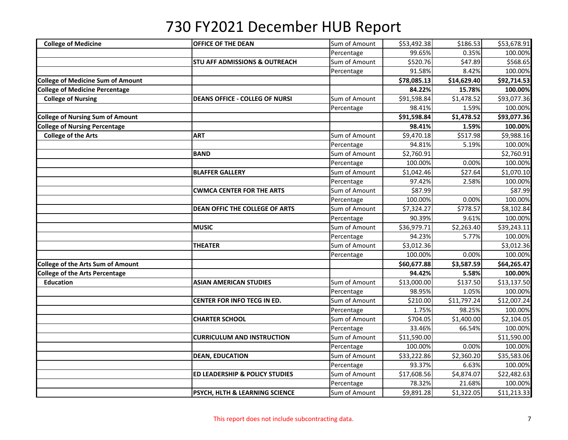| <b>College of Medicine</b>               | <b>OFFICE OF THE DEAN</b>                 | Sum of Amount | \$53,492.38 | \$186.53    | \$53,678.91 |
|------------------------------------------|-------------------------------------------|---------------|-------------|-------------|-------------|
|                                          |                                           | Percentage    | 99.65%      | 0.35%       | 100.00%     |
|                                          | <b>STU AFF ADMISSIONS &amp; OUTREACH</b>  | Sum of Amount | \$520.76    | \$47.89     | \$568.65    |
|                                          |                                           | Percentage    | 91.58%      | 8.42%       | 100.00%     |
| <b>College of Medicine Sum of Amount</b> |                                           |               | \$78,085.13 | \$14,629.40 | \$92,714.53 |
| <b>College of Medicine Percentage</b>    |                                           |               | 84.22%      | 15.78%      | 100.00%     |
| <b>College of Nursing</b>                | <b>DEANS OFFICE - COLLEG OF NURSI</b>     | Sum of Amount | \$91,598.84 | \$1,478.52  | \$93,077.36 |
|                                          |                                           | Percentage    | 98.41%      | 1.59%       | 100.00%     |
| <b>College of Nursing Sum of Amount</b>  |                                           |               | \$91,598.84 | \$1,478.52  | \$93,077.36 |
| <b>College of Nursing Percentage</b>     |                                           |               | 98.41%      | 1.59%       | 100.00%     |
| <b>College of the Arts</b>               | <b>ART</b>                                | Sum of Amount | \$9,470.18  | \$517.98    | \$9,988.16  |
|                                          |                                           | Percentage    | 94.81%      | 5.19%       | 100.00%     |
|                                          | <b>BAND</b>                               | Sum of Amount | \$2,760.91  |             | \$2,760.91  |
|                                          |                                           | Percentage    | 100.00%     | 0.00%       | 100.00%     |
|                                          | <b>BLAFFER GALLERY</b>                    | Sum of Amount | \$1,042.46  | \$27.64     | \$1,070.10  |
|                                          |                                           | Percentage    | 97.42%      | 2.58%       | 100.00%     |
|                                          | <b>CWMCA CENTER FOR THE ARTS</b>          | Sum of Amount | \$87.99     |             | \$87.99     |
|                                          |                                           | Percentage    | 100.00%     | 0.00%       | 100.00%     |
|                                          | <b>DEAN OFFIC THE COLLEGE OF ARTS</b>     | Sum of Amount | \$7,324.27  | \$778.57    | \$8,102.84  |
|                                          |                                           | Percentage    | 90.39%      | 9.61%       | 100.00%     |
|                                          | <b>MUSIC</b>                              | Sum of Amount | \$36,979.71 | \$2,263.40  | \$39,243.11 |
|                                          |                                           | Percentage    | 94.23%      | 5.77%       | 100.00%     |
|                                          | THEATER                                   | Sum of Amount | \$3,012.36  |             | \$3,012.36  |
|                                          |                                           | Percentage    | 100.00%     | 0.00%       | 100.00%     |
| <b>College of the Arts Sum of Amount</b> |                                           |               | \$60,677.88 | \$3,587.59  | \$64,265.47 |
| <b>College of the Arts Percentage</b>    |                                           |               | 94.42%      | 5.58%       | 100.00%     |
| <b>Education</b>                         | <b>ASIAN AMERICAN STUDIES</b>             | Sum of Amount | \$13,000.00 | \$137.50    | \$13,137.50 |
|                                          |                                           | Percentage    | 98.95%      | 1.05%       | 100.00%     |
|                                          | CENTER FOR INFO TECG IN ED.               | Sum of Amount | \$210.00    | \$11,797.24 | \$12,007.24 |
|                                          |                                           | Percentage    | 1.75%       | 98.25%      | 100.00%     |
|                                          | <b>CHARTER SCHOOL</b>                     | Sum of Amount | \$704.05    | \$1,400.00  | \$2,104.05  |
|                                          |                                           | Percentage    | 33.46%      | 66.54%      | 100.00%     |
|                                          | <b>CURRICULUM AND INSTRUCTION</b>         | Sum of Amount | \$11,590.00 |             | \$11,590.00 |
|                                          |                                           | Percentage    | 100.00%     | 0.00%       | 100.00%     |
|                                          | <b>DEAN, EDUCATION</b>                    | Sum of Amount | \$33,222.86 | \$2,360.20  | \$35,583.06 |
|                                          |                                           | Percentage    | 93.37%      | 6.63%       | 100.00%     |
|                                          | <b>ED LEADERSHIP &amp; POLICY STUDIES</b> | Sum of Amount | \$17,608.56 | \$4,874.07  | \$22,482.63 |
|                                          |                                           | Percentage    | 78.32%      | 21.68%      | 100.00%     |
|                                          | PSYCH, HLTH & LEARNING SCIENCE            | Sum of Amount | \$9,891.28  | \$1,322.05  | \$11,213.33 |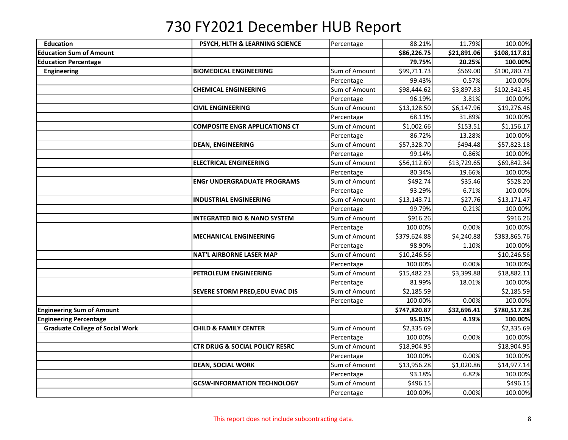| <b>Education</b>                       | PSYCH, HLTH & LEARNING SCIENCE            | Percentage    | 88.21%       | 11.79%      | 100.00%      |
|----------------------------------------|-------------------------------------------|---------------|--------------|-------------|--------------|
| <b>Education Sum of Amount</b>         |                                           |               | \$86,226.75  | \$21,891.06 | \$108,117.81 |
| <b>Education Percentage</b>            |                                           |               | 79.75%       | 20.25%      | 100.00%      |
| <b>Engineering</b>                     | <b>BIOMEDICAL ENGINEERING</b>             | Sum of Amount | \$99,711.73  | \$569.00    | \$100,280.73 |
|                                        |                                           | Percentage    | 99.43%       | 0.57%       | 100.00%      |
|                                        | <b>CHEMICAL ENGINEERING</b>               | Sum of Amount | \$98,444.62  | \$3,897.83  | \$102,342.45 |
|                                        |                                           | Percentage    | 96.19%       | 3.81%       | 100.00%      |
|                                        | <b>CIVIL ENGINEERING</b>                  | Sum of Amount | \$13,128.50  | \$6,147.96  | \$19,276.46  |
|                                        |                                           | Percentage    | 68.11%       | 31.89%      | 100.00%      |
|                                        | <b>COMPOSITE ENGR APPLICATIONS CT</b>     | Sum of Amount | \$1,002.66   | \$153.51    | \$1,156.17   |
|                                        |                                           | Percentage    | 86.72%       | 13.28%      | 100.00%      |
|                                        | <b>DEAN, ENGINEERING</b>                  | Sum of Amount | \$57,328.70  | \$494.48    | \$57,823.18  |
|                                        |                                           | Percentage    | 99.14%       | 0.86%       | 100.00%      |
|                                        | <b>ELECTRICAL ENGINEERING</b>             | Sum of Amount | \$56,112.69  | \$13,729.65 | \$69,842.34  |
|                                        |                                           | Percentage    | 80.34%       | 19.66%      | 100.00%      |
|                                        | <b>ENGr UNDERGRADUATE PROGRAMS</b>        | Sum of Amount | \$492.74     | \$35.46     | \$528.20     |
|                                        |                                           | Percentage    | 93.29%       | 6.71%       | 100.00%      |
|                                        | <b>INDUSTRIAL ENGINEERING</b>             | Sum of Amount | \$13,143.71  | \$27.76     | \$13,171.47  |
|                                        |                                           | Percentage    | 99.79%       | 0.21%       | 100.00%      |
|                                        | <b>INTEGRATED BIO &amp; NANO SYSTEM</b>   | Sum of Amount | \$916.26     |             | \$916.26     |
|                                        |                                           | Percentage    | 100.00%      | 0.00%       | 100.00%      |
|                                        | <b>MECHANICAL ENGINEERING</b>             | Sum of Amount | \$379,624.88 | \$4,240.88  | \$383,865.76 |
|                                        |                                           | Percentage    | 98.90%       | 1.10%       | 100.00%      |
|                                        | <b>NAT'L AIRBORNE LASER MAP</b>           | Sum of Amount | \$10,246.56  |             | \$10,246.56  |
|                                        |                                           | Percentage    | 100.00%      | 0.00%       | 100.00%      |
|                                        | PETROLEUM ENGINEERING                     | Sum of Amount | \$15,482.23  | \$3,399.88  | \$18,882.11  |
|                                        |                                           | Percentage    | 81.99%       | 18.01%      | 100.00%      |
|                                        | SEVERE STORM PRED, EDU EVAC DIS           | Sum of Amount | \$2,185.59   |             | \$2,185.59   |
|                                        |                                           | Percentage    | 100.00%      | 0.00%       | 100.00%      |
| <b>Engineering Sum of Amount</b>       |                                           |               | \$747,820.87 | \$32,696.41 | \$780,517.28 |
| <b>Engineering Percentage</b>          |                                           |               | 95.81%       | 4.19%       | 100.00%      |
| <b>Graduate College of Social Work</b> | <b>CHILD &amp; FAMILY CENTER</b>          | Sum of Amount | \$2,335.69   |             | \$2,335.69   |
|                                        |                                           | Percentage    | 100.00%      | 0.00%       | 100.00%      |
|                                        | <b>CTR DRUG &amp; SOCIAL POLICY RESRC</b> | Sum of Amount | \$18,904.95  |             | \$18,904.95  |
|                                        |                                           | Percentage    | 100.00%      | 0.00%       | 100.00%      |
|                                        | <b>DEAN, SOCIAL WORK</b>                  | Sum of Amount | \$13,956.28  | \$1,020.86  | \$14,977.14  |
|                                        |                                           | Percentage    | 93.18%       | 6.82%       | 100.00%      |
|                                        | <b>GCSW-INFORMATION TECHNOLOGY</b>        | Sum of Amount | \$496.15     |             | \$496.15     |
|                                        |                                           | Percentage    | 100.00%      | 0.00%       | 100.00%      |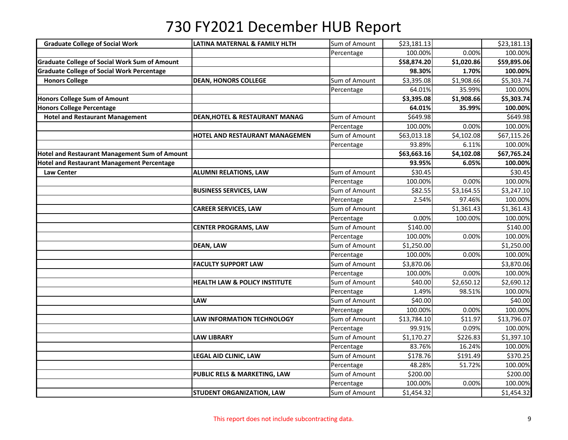| <b>Graduate College of Social Work</b>               | LATINA MATERNAL & FAMILY HLTH             | Sum of Amount | \$23,181.13 |                        | \$23,181.13 |
|------------------------------------------------------|-------------------------------------------|---------------|-------------|------------------------|-------------|
|                                                      |                                           | Percentage    | 100.00%     | 0.00%                  | 100.00%     |
| <b>Graduate College of Social Work Sum of Amount</b> |                                           |               | \$58,874.20 | \$1,020.86             | \$59,895.06 |
| <b>Graduate College of Social Work Percentage</b>    |                                           |               | 98.30%      | 1.70%                  | 100.00%     |
| <b>Honors College</b>                                | <b>DEAN, HONORS COLLEGE</b>               | Sum of Amount | \$3,395.08  | \$1,908.66             | \$5,303.74  |
|                                                      |                                           | Percentage    | 64.01%      | 35.99%                 | 100.00%     |
| <b>Honors College Sum of Amount</b>                  |                                           |               | \$3,395.08  | \$1,908.66             | \$5,303.74  |
| <b>Honors College Percentage</b>                     |                                           |               | 64.01%      | 35.99%                 | 100.00%     |
| <b>Hotel and Restaurant Management</b>               | <b>DEAN, HOTEL &amp; RESTAURANT MANAG</b> | Sum of Amount | \$649.98    |                        | \$649.98    |
|                                                      |                                           | Percentage    | 100.00%     | 0.00%                  | 100.00%     |
|                                                      | HOTEL AND RESTAURANT MANAGEMEN            | Sum of Amount | \$63,013.18 | \$4,102.08             | \$67,115.26 |
|                                                      |                                           | Percentage    | 93.89%      | 6.11%                  | 100.00%     |
| <b>Hotel and Restaurant Management Sum of Amount</b> |                                           |               | \$63,663.16 | \$4,102.08             | \$67,765.24 |
| <b>Hotel and Restaurant Management Percentage</b>    |                                           |               | 93.95%      | 6.05%                  | 100.00%     |
| <b>Law Center</b>                                    | <b>ALUMNI RELATIONS, LAW</b>              | Sum of Amount | \$30.45     |                        | \$30.45     |
|                                                      |                                           | Percentage    | 100.00%     | 0.00%                  | 100.00%     |
|                                                      | <b>BUSINESS SERVICES, LAW</b>             | Sum of Amount | \$82.55     | \$3,164.55             | \$3,247.10  |
|                                                      |                                           | Percentage    | 2.54%       | 97.46%                 | 100.00%     |
|                                                      | <b>CAREER SERVICES, LAW</b>               | Sum of Amount |             | $\overline{51,}361.43$ | \$1,361.43  |
|                                                      |                                           | Percentage    | 0.00%       | 100.00%                | 100.00%     |
|                                                      | <b>CENTER PROGRAMS, LAW</b>               | Sum of Amount | \$140.00    |                        | \$140.00    |
|                                                      |                                           | Percentage    | 100.00%     | 0.00%                  | 100.00%     |
|                                                      | <b>DEAN, LAW</b>                          | Sum of Amount | \$1,250.00  |                        | \$1,250.00  |
|                                                      |                                           | Percentage    | 100.00%     | 0.00%                  | 100.00%     |
|                                                      | <b>FACULTY SUPPORT LAW</b>                | Sum of Amount | \$3,870.06  |                        | \$3,870.06  |
|                                                      |                                           | Percentage    | 100.00%     | 0.00%                  | 100.00%     |
|                                                      | HEALTH LAW & POLICY INSTITUTE             | Sum of Amount | \$40.00     | \$2,650.12             | \$2,690.12  |
|                                                      |                                           | Percentage    | 1.49%       | 98.51%                 | 100.00%     |
|                                                      | LAW                                       | Sum of Amount | \$40.00     |                        | \$40.00     |
|                                                      |                                           | Percentage    | 100.00%     | 0.00%                  | 100.00%     |
|                                                      | LAW INFORMATION TECHNOLOGY                | Sum of Amount | \$13,784.10 | \$11.97                | \$13,796.07 |
|                                                      |                                           | Percentage    | 99.91%      | 0.09%                  | 100.00%     |
|                                                      | <b>LAW LIBRARY</b>                        | Sum of Amount | \$1,170.27  | \$226.83               | \$1,397.10  |
|                                                      |                                           | Percentage    | 83.76%      | 16.24%                 | 100.00%     |
|                                                      | LEGAL AID CLINIC, LAW                     | Sum of Amount | \$178.76    | \$191.49               | \$370.25    |
|                                                      |                                           | Percentage    | 48.28%      | 51.72%                 | 100.00%     |
|                                                      | PUBLIC RELS & MARKETING, LAW              | Sum of Amount | \$200.00    |                        | \$200.00    |
|                                                      |                                           | Percentage    | 100.00%     | 0.00%                  | 100.00%     |
|                                                      | <b>STUDENT ORGANIZATION, LAW</b>          | Sum of Amount | \$1,454.32  |                        | \$1,454.32  |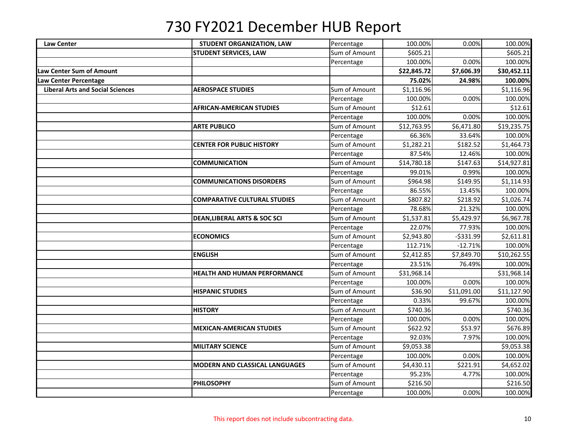| <b>Law Center</b>                       | STUDENT ORGANIZATION, LAW               | Percentage    | 100.00%     | 0.00%       | 100.00%     |
|-----------------------------------------|-----------------------------------------|---------------|-------------|-------------|-------------|
|                                         | <b>STUDENT SERVICES, LAW</b>            | Sum of Amount | \$605.21    |             | \$605.21    |
|                                         |                                         | Percentage    | 100.00%     | 0.00%       | 100.00%     |
| Law Center Sum of Amount                |                                         |               | \$22,845.72 | \$7,606.39  | \$30,452.11 |
| Law Center Percentage                   |                                         |               | 75.02%      | 24.98%      | 100.00%     |
| <b>Liberal Arts and Social Sciences</b> | <b>AEROSPACE STUDIES</b>                | Sum of Amount | \$1,116.96  |             | \$1,116.96  |
|                                         |                                         | Percentage    | 100.00%     | 0.00%       | 100.00%     |
|                                         | <b>AFRICAN-AMERICAN STUDIES</b>         | Sum of Amount | \$12.61     |             | \$12.61     |
|                                         |                                         | Percentage    | 100.00%     | 0.00%       | 100.00%     |
|                                         | <b>ARTE PUBLICO</b>                     | Sum of Amount | \$12,763.95 | \$6,471.80  | \$19,235.75 |
|                                         |                                         | Percentage    | 66.36%      | 33.64%      | 100.00%     |
|                                         | <b>CENTER FOR PUBLIC HISTORY</b>        | Sum of Amount | \$1,282.21  | \$182.52    | \$1,464.73  |
|                                         |                                         | Percentage    | 87.54%      | 12.46%      | 100.00%     |
|                                         | <b>COMMUNICATION</b>                    | Sum of Amount | \$14,780.18 | \$147.63    | \$14,927.81 |
|                                         |                                         | Percentage    | 99.01%      | 0.99%       | 100.00%     |
|                                         | <b>COMMUNICATIONS DISORDERS</b>         | Sum of Amount | \$964.98    | \$149.95    | \$1,114.93  |
|                                         |                                         | Percentage    | 86.55%      | 13.45%      | 100.00%     |
|                                         | <b>COMPARATIVE CULTURAL STUDIES</b>     | Sum of Amount | \$807.82    | \$218.92    | \$1,026.74  |
|                                         |                                         | Percentage    | 78.68%      | 21.32%      | 100.00%     |
|                                         | <b>DEAN, LIBERAL ARTS &amp; SOC SCI</b> | Sum of Amount | \$1,537.81  | \$5,429.97  | \$6,967.78  |
|                                         |                                         | Percentage    | 22.07%      | 77.93%      | 100.00%     |
|                                         | <b>ECONOMICS</b>                        | Sum of Amount | \$2,943.80  | $-5331.99$  | \$2,611.81  |
|                                         |                                         | Percentage    | 112.71%     | $-12.71%$   | 100.00%     |
|                                         | <b>ENGLISH</b>                          | Sum of Amount | \$2,412.85  | \$7,849.70  | \$10,262.55 |
|                                         |                                         | Percentage    | 23.51%      | 76.49%      | 100.00%     |
|                                         | HEALTH AND HUMAN PERFORMANCE            | Sum of Amount | \$31,968.14 |             | \$31,968.14 |
|                                         |                                         | Percentage    | 100.00%     | 0.00%       | 100.00%     |
|                                         | <b>HISPANIC STUDIES</b>                 | Sum of Amount | \$36.90     | \$11,091.00 | \$11,127.90 |
|                                         |                                         | Percentage    | 0.33%       | 99.67%      | 100.00%     |
|                                         | <b>HISTORY</b>                          | Sum of Amount | \$740.36    |             | \$740.36    |
|                                         |                                         | Percentage    | 100.00%     | 0.00%       | 100.00%     |
|                                         | <b>MEXICAN-AMERICAN STUDIES</b>         | Sum of Amount | \$622.92    | \$53.97     | \$676.89    |
|                                         |                                         | Percentage    | 92.03%      | 7.97%       | 100.00%     |
|                                         | <b>MILITARY SCIENCE</b>                 | Sum of Amount | \$9,053.38  |             | \$9,053.38  |
|                                         |                                         | Percentage    | 100.00%     | 0.00%       | 100.00%     |
|                                         | <b>MODERN AND CLASSICAL LANGUAGES</b>   | Sum of Amount | \$4,430.11  | \$221.91    | \$4,652.02  |
|                                         |                                         | Percentage    | 95.23%      | 4.77%       | 100.00%     |
|                                         | <b>PHILOSOPHY</b>                       | Sum of Amount | \$216.50    |             | \$216.50    |
|                                         |                                         | Percentage    | 100.00%     | 0.00%       | 100.00%     |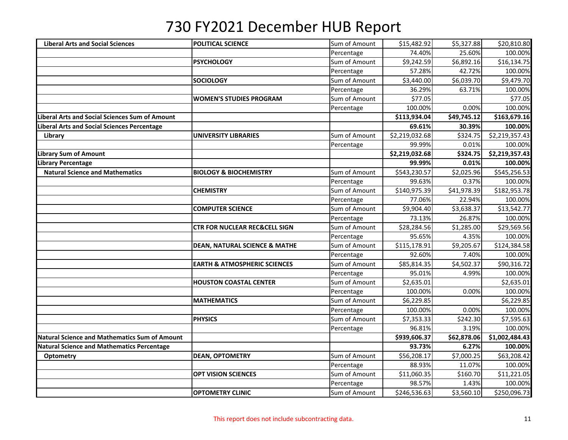| <b>Liberal Arts and Social Sciences</b>              | <b>POLITICAL SCIENCE</b>                 | Sum of Amount | \$15,482.92    | \$5,327.88  | \$20,810.80    |
|------------------------------------------------------|------------------------------------------|---------------|----------------|-------------|----------------|
|                                                      |                                          | Percentage    | 74.40%         | 25.60%      | 100.00%        |
|                                                      | <b>PSYCHOLOGY</b>                        | Sum of Amount | \$9,242.59     | \$6,892.16  | \$16,134.75    |
|                                                      |                                          | Percentage    | 57.28%         | 42.72%      | 100.00%        |
|                                                      | <b>SOCIOLOGY</b>                         | Sum of Amount | \$3,440.00     | \$6,039.70  | \$9,479.70     |
|                                                      |                                          | Percentage    | 36.29%         | 63.71%      | 100.00%        |
|                                                      | <b>WOMEN'S STUDIES PROGRAM</b>           | Sum of Amount | \$77.05        |             | \$77.05        |
|                                                      |                                          | Percentage    | 100.00%        | 0.00%       | 100.00%        |
| Liberal Arts and Social Sciences Sum of Amount       |                                          |               | \$113,934.04   | \$49,745.12 | \$163,679.16   |
| Liberal Arts and Social Sciences Percentage          |                                          |               | 69.61%         | 30.39%      | 100.00%        |
| Library                                              | <b>UNIVERSITY LIBRARIES</b>              | Sum of Amount | \$2,219,032.68 | \$324.75    | \$2,219,357.43 |
|                                                      |                                          | Percentage    | 99.99%         | 0.01%       | 100.00%        |
| Library Sum of Amount                                |                                          |               | \$2,219,032.68 | \$324.75    | \$2,219,357.43 |
| <b>Library Percentage</b>                            |                                          |               | 99.99%         | 0.01%       | 100.00%        |
| <b>Natural Science and Mathematics</b>               | <b>BIOLOGY &amp; BIOCHEMISTRY</b>        | Sum of Amount | \$543,230.57   | \$2,025.96  | \$545,256.53   |
|                                                      |                                          | Percentage    | 99.63%         | 0.37%       | 100.00%        |
|                                                      | <b>CHEMISTRY</b>                         | Sum of Amount | \$140,975.39   | \$41,978.39 | \$182,953.78   |
|                                                      |                                          | Percentage    | 77.06%         | 22.94%      | 100.00%        |
|                                                      | <b>COMPUTER SCIENCE</b>                  | Sum of Amount | \$9,904.40     | \$3,638.37  | \$13,542.77    |
|                                                      |                                          | Percentage    | 73.13%         | 26.87%      | 100.00%        |
|                                                      | <b>CTR FOR NUCLEAR REC&amp;CELL SIGN</b> | Sum of Amount | \$28,284.56    | \$1,285.00  | \$29,569.56    |
|                                                      |                                          | Percentage    | 95.65%         | 4.35%       | 100.00%        |
|                                                      | <b>DEAN, NATURAL SCIENCE &amp; MATHE</b> | Sum of Amount | \$115,178.91   | \$9,205.67  | \$124,384.58   |
|                                                      |                                          | Percentage    | 92.60%         | 7.40%       | 100.00%        |
|                                                      | <b>EARTH &amp; ATMOSPHERIC SCIENCES</b>  | Sum of Amount | \$85,814.35    | \$4,502.37  | \$90,316.72    |
|                                                      |                                          | Percentage    | 95.01%         | 4.99%       | 100.00%        |
|                                                      | <b>HOUSTON COASTAL CENTER</b>            | Sum of Amount | \$2,635.01     |             | \$2,635.01     |
|                                                      |                                          | Percentage    | 100.00%        | 0.00%       | 100.00%        |
|                                                      | <b>MATHEMATICS</b>                       | Sum of Amount | \$6,229.85     |             | \$6,229.85     |
|                                                      |                                          | Percentage    | 100.00%        | 0.00%       | 100.00%        |
|                                                      | <b>PHYSICS</b>                           | Sum of Amount | \$7,353.33     | \$242.30    | \$7,595.63     |
|                                                      |                                          | Percentage    | 96.81%         | 3.19%       | 100.00%        |
| <b>Natural Science and Mathematics Sum of Amount</b> |                                          |               | \$939,606.37   | \$62,878.06 | \$1,002,484.43 |
| <b>Natural Science and Mathematics Percentage</b>    |                                          |               | 93.73%         | 6.27%       | 100.00%        |
| Optometry                                            | <b>DEAN, OPTOMETRY</b>                   | Sum of Amount | \$56,208.17    | \$7,000.25  | \$63,208.42    |
|                                                      |                                          | Percentage    | 88.93%         | 11.07%      | 100.00%        |
|                                                      | <b>OPT VISION SCIENCES</b>               | Sum of Amount | \$11,060.35    | \$160.70    | \$11,221.05    |
|                                                      |                                          | Percentage    | 98.57%         | 1.43%       | 100.00%        |
|                                                      | <b>OPTOMETRY CLINIC</b>                  | Sum of Amount | \$246,536.63   | \$3,560.10  | \$250,096.73   |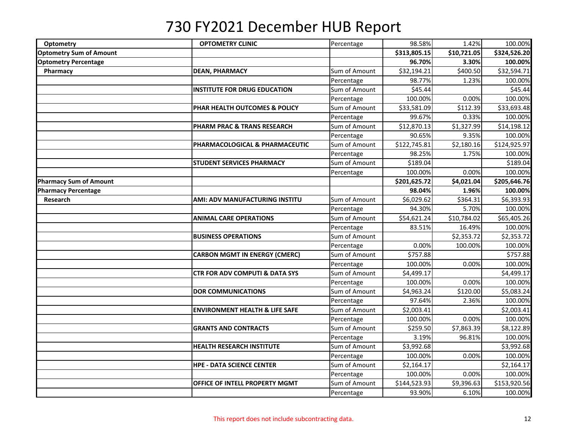| Optometry                      | <b>OPTOMETRY CLINIC</b>                   | Percentage    | 98.58%       | 1.42%       | 100.00%      |
|--------------------------------|-------------------------------------------|---------------|--------------|-------------|--------------|
| <b>Optometry Sum of Amount</b> |                                           |               | \$313,805.15 | \$10,721.05 | \$324,526.20 |
| <b>Optometry Percentage</b>    |                                           |               | 96.70%       | 3.30%       | 100.00%      |
| Pharmacy                       | <b>DEAN, PHARMACY</b>                     | Sum of Amount | \$32,194.21  | \$400.50    | \$32,594.71  |
|                                |                                           | Percentage    | 98.77%       | 1.23%       | 100.00%      |
|                                | <b>INSTITUTE FOR DRUG EDUCATION</b>       | Sum of Amount | \$45.44      |             | \$45.44      |
|                                |                                           | Percentage    | 100.00%      | 0.00%       | 100.00%      |
|                                | PHAR HEALTH OUTCOMES & POLICY             | Sum of Amount | \$33,581.09  | \$112.39    | \$33,693.48  |
|                                |                                           | Percentage    | 99.67%       | 0.33%       | 100.00%      |
|                                | <b>PHARM PRAC &amp; TRANS RESEARCH</b>    | Sum of Amount | \$12,870.13  | \$1,327.99  | \$14,198.12  |
|                                |                                           | Percentage    | 90.65%       | 9.35%       | 100.00%      |
|                                | PHARMACOLOGICAL & PHARMACEUTIC            | Sum of Amount | \$122,745.81 | \$2,180.16  | \$124,925.97 |
|                                |                                           | Percentage    | 98.25%       | 1.75%       | 100.00%      |
|                                | <b>STUDENT SERVICES PHARMACY</b>          | Sum of Amount | \$189.04     |             | \$189.04     |
|                                |                                           | Percentage    | 100.00%      | 0.00%       | 100.00%      |
| <b>Pharmacy Sum of Amount</b>  |                                           |               | \$201,625.72 | \$4,021.04  | \$205,646.76 |
| <b>Pharmacy Percentage</b>     |                                           |               | 98.04%       | 1.96%       | 100.00%      |
| <b>Research</b>                | AMI: ADV MANUFACTURING INSTITU            | Sum of Amount | \$6,029.62   | \$364.31    | \$6,393.93   |
|                                |                                           | Percentage    | 94.30%       | 5.70%       | 100.00%      |
|                                | <b>ANIMAL CARE OPERATIONS</b>             | Sum of Amount | \$54,621.24  | \$10,784.02 | \$65,405.26  |
|                                |                                           | Percentage    | 83.51%       | 16.49%      | 100.00%      |
|                                | <b>BUSINESS OPERATIONS</b>                | Sum of Amount |              | \$2,353.72  | \$2,353.72   |
|                                |                                           | Percentage    | 0.00%        | 100.00%     | 100.00%      |
|                                | <b>CARBON MGMT IN ENERGY (CMERC)</b>      | Sum of Amount | \$757.88     |             | \$757.88     |
|                                |                                           | Percentage    | 100.00%      | 0.00%       | 100.00%      |
|                                | <b>CTR FOR ADV COMPUTI &amp; DATA SYS</b> | Sum of Amount | \$4,499.17   |             | \$4,499.17   |
|                                |                                           | Percentage    | 100.00%      | 0.00%       | 100.00%      |
|                                | <b>DOR COMMUNICATIONS</b>                 | Sum of Amount | \$4,963.24   | \$120.00    | \$5,083.24   |
|                                |                                           | Percentage    | 97.64%       | 2.36%       | 100.00%      |
|                                | <b>ENVIRONMENT HEALTH &amp; LIFE SAFE</b> | Sum of Amount | \$2,003.41   |             | \$2,003.41   |
|                                |                                           | Percentage    | 100.00%      | 0.00%       | 100.00%      |
|                                | <b>GRANTS AND CONTRACTS</b>               | Sum of Amount | \$259.50     | \$7,863.39  | \$8,122.89   |
|                                |                                           | Percentage    | 3.19%        | 96.81%      | 100.00%      |
|                                | <b>HEALTH RESEARCH INSTITUTE</b>          | Sum of Amount | \$3,992.68   |             | \$3,992.68   |
|                                |                                           | Percentage    | 100.00%      | 0.00%       | 100.00%      |
|                                | <b>HPE - DATA SCIENCE CENTER</b>          | Sum of Amount | \$2,164.17   |             | \$2,164.17   |
|                                |                                           | Percentage    | 100.00%      | 0.00%       | 100.00%      |
|                                | OFFICE OF INTELL PROPERTY MGMT            | Sum of Amount | \$144,523.93 | \$9,396.63  | \$153,920.56 |
|                                |                                           | Percentage    | 93.90%       | 6.10%       | 100.00%      |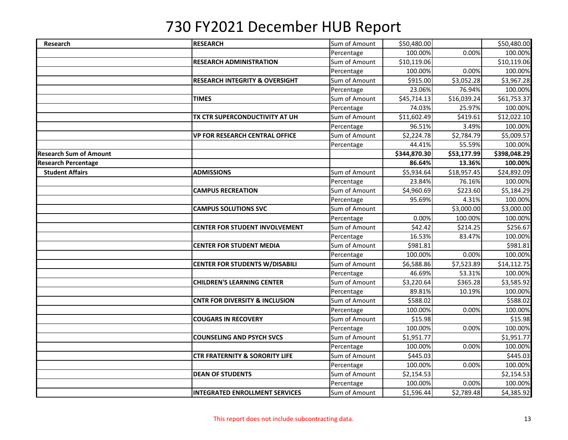| Research                      | <b>RESEARCH</b>                           | Sum of Amount | \$50,480.00  |                         | \$50,480.00  |
|-------------------------------|-------------------------------------------|---------------|--------------|-------------------------|--------------|
|                               |                                           | Percentage    | 100.00%      | 0.00%                   | 100.00%      |
|                               | <b>RESEARCH ADMINISTRATION</b>            | Sum of Amount | \$10,119.06  |                         | \$10,119.06  |
|                               |                                           | Percentage    | 100.00%      | 0.00%                   | 100.00%      |
|                               | <b>RESEARCH INTEGRITY &amp; OVERSIGHT</b> | Sum of Amount | \$915.00     | \$3,052.28              | \$3,967.28   |
|                               |                                           | Percentage    | 23.06%       | 76.94%                  | 100.00%      |
|                               | <b>TIMES</b>                              | Sum of Amount | \$45,714.13  | $\overline{$}16,039.24$ | \$61,753.37  |
|                               |                                           | Percentage    | 74.03%       | 25.97%                  | 100.00%      |
|                               | TX CTR SUPERCONDUCTIVITY AT UH            | Sum of Amount | \$11,602.49  | \$419.61                | \$12,022.10  |
|                               |                                           | Percentage    | 96.51%       | 3.49%                   | 100.00%      |
|                               | VP FOR RESEARCH CENTRAL OFFICE            | Sum of Amount | \$2,224.78   | \$2,784.79              | \$5,009.57   |
|                               |                                           | Percentage    | 44.41%       | 55.59%                  | 100.00%      |
| <b>Research Sum of Amount</b> |                                           |               | \$344,870.30 | \$53,177.99             | \$398,048.29 |
| <b>Research Percentage</b>    |                                           |               | 86.64%       | 13.36%                  | 100.00%      |
| <b>Student Affairs</b>        | <b>ADMISSIONS</b>                         | Sum of Amount | \$5,934.64   | \$18,957.45             | \$24,892.09  |
|                               |                                           | Percentage    | 23.84%       | 76.16%                  | 100.00%      |
|                               | <b>CAMPUS RECREATION</b>                  | Sum of Amount | \$4,960.69   | \$223.60                | \$5,184.29   |
|                               |                                           | Percentage    | 95.69%       | 4.31%                   | 100.00%      |
|                               | <b>CAMPUS SOLUTIONS SVC</b>               | Sum of Amount |              | \$3,000.00              | \$3,000.00   |
|                               |                                           | Percentage    | 0.00%        | 100.00%                 | 100.00%      |
|                               | CENTER FOR STUDENT INVOLVEMENT            | Sum of Amount | \$42.42      | \$214.25                | \$256.67     |
|                               |                                           | Percentage    | 16.53%       | 83.47%                  | 100.00%      |
|                               | <b>CENTER FOR STUDENT MEDIA</b>           | Sum of Amount | \$981.81     |                         | \$981.81     |
|                               |                                           | Percentage    | 100.00%      | 0.00%                   | 100.00%      |
|                               | <b>CENTER FOR STUDENTS W/DISABILI</b>     | Sum of Amount | \$6,588.86   | \$7,523.89              | \$14,112.75  |
|                               |                                           | Percentage    | 46.69%       | 53.31%                  | 100.00%      |
|                               | <b>CHILDREN'S LEARNING CENTER</b>         | Sum of Amount | \$3,220.64   | \$365.28                | \$3,585.92   |
|                               |                                           | Percentage    | 89.81%       | 10.19%                  | 100.00%      |
|                               | <b>CNTR FOR DIVERSITY &amp; INCLUSION</b> | Sum of Amount | \$588.02     |                         | \$588.02     |
|                               |                                           | Percentage    | 100.00%      | 0.00%                   | 100.00%      |
|                               | <b>COUGARS IN RECOVERY</b>                | Sum of Amount | \$15.98      |                         | \$15.98      |
|                               |                                           | Percentage    | 100.00%      | 0.00%                   | 100.00%      |
|                               | <b>COUNSELING AND PSYCH SVCS</b>          | Sum of Amount | \$1,951.77   |                         | \$1,951.77   |
|                               |                                           | Percentage    | 100.00%      | 0.00%                   | 100.00%      |
|                               | <b>CTR FRATERNITY &amp; SORORITY LIFE</b> | Sum of Amount | \$445.03     |                         | \$445.03     |
|                               |                                           | Percentage    | 100.00%      | 0.00%                   | 100.00%      |
|                               | <b>DEAN OF STUDENTS</b>                   | Sum of Amount | \$2,154.53   |                         | \$2,154.53   |
|                               |                                           | Percentage    | 100.00%      | 0.00%                   | 100.00%      |
|                               | <b>INTEGRATED ENROLLMENT SERVICES</b>     | Sum of Amount | \$1,596.44   | \$2,789.48              | \$4,385.92   |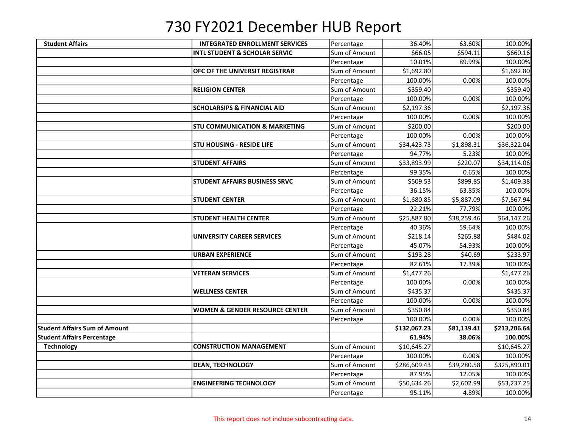| <b>Student Affairs</b>               | <b>INTEGRATED ENROLLMENT SERVICES</b>     | Percentage    | 36.40%       | 63.60%      | 100.00%      |
|--------------------------------------|-------------------------------------------|---------------|--------------|-------------|--------------|
|                                      | <b>INTL STUDENT &amp; SCHOLAR SERVIC</b>  | Sum of Amount | \$66.05      | \$594.11    | \$660.16     |
|                                      |                                           | Percentage    | 10.01%       | 89.99%      | 100.00%      |
|                                      | OFC OF THE UNIVERSIT REGISTRAR            | Sum of Amount | \$1,692.80   |             | \$1,692.80   |
|                                      |                                           | Percentage    | 100.00%      | 0.00%       | 100.00%      |
|                                      | <b>RELIGION CENTER</b>                    | Sum of Amount | \$359.40     |             | \$359.40     |
|                                      |                                           | Percentage    | 100.00%      | 0.00%       | 100.00%      |
|                                      | <b>SCHOLARSIPS &amp; FINANCIAL AID</b>    | Sum of Amount | \$2,197.36   |             | \$2,197.36   |
|                                      |                                           | Percentage    | 100.00%      | 0.00%       | 100.00%      |
|                                      | <b>STU COMMUNICATION &amp; MARKETING</b>  | Sum of Amount | \$200.00]    |             | \$200.00     |
|                                      |                                           | Percentage    | 100.00%      | 0.00%       | 100.00%      |
|                                      | <b>STU HOUSING - RESIDE LIFE</b>          | Sum of Amount | \$34,423.73  | \$1,898.31  | \$36,322.04  |
|                                      |                                           | Percentage    | 94.77%       | 5.23%       | 100.00%      |
|                                      | <b>STUDENT AFFAIRS</b>                    | Sum of Amount | \$33,893.99  | \$220.07    | \$34,114.06  |
|                                      |                                           | Percentage    | 99.35%       | 0.65%       | 100.00%      |
|                                      | <b>STUDENT AFFAIRS BUSINESS SRVC</b>      | Sum of Amount | \$509.53     | \$899.85    | \$1,409.38   |
|                                      |                                           | Percentage    | 36.15%       | 63.85%      | 100.00%      |
|                                      | <b>STUDENT CENTER</b>                     | Sum of Amount | \$1,680.85   | \$5,887.09  | \$7,567.94   |
|                                      |                                           | Percentage    | 22.21%       | 77.79%      | 100.00%      |
|                                      | <b>STUDENT HEALTH CENTER</b>              | Sum of Amount | \$25,887.80  | \$38,259.46 | \$64,147.26  |
|                                      |                                           | Percentage    | 40.36%       | 59.64%      | 100.00%      |
|                                      | <b>UNIVERSITY CAREER SERVICES</b>         | Sum of Amount | \$218.14     | \$265.88    | \$484.02     |
|                                      |                                           | Percentage    | 45.07%       | 54.93%      | 100.00%      |
|                                      | <b>URBAN EXPERIENCE</b>                   | Sum of Amount | \$193.28     | \$40.69     | \$233.97     |
|                                      |                                           | Percentage    | 82.61%       | 17.39%      | 100.00%      |
|                                      | <b>VETERAN SERVICES</b>                   | Sum of Amount | \$1,477.26   |             | \$1,477.26   |
|                                      |                                           | Percentage    | 100.00%      | 0.00%       | 100.00%      |
|                                      | <b>WELLNESS CENTER</b>                    | Sum of Amount | \$435.37     |             | \$435.37     |
|                                      |                                           | Percentage    | 100.00%      | 0.00%       | 100.00%      |
|                                      | <b>WOMEN &amp; GENDER RESOURCE CENTER</b> | Sum of Amount | \$350.84     |             | \$350.84     |
|                                      |                                           | Percentage    | 100.00%      | 0.00%       | 100.00%      |
| <b>Student Affairs Sum of Amount</b> |                                           |               | \$132,067.23 | \$81,139.41 | \$213,206.64 |
| <b>Student Affairs Percentage</b>    |                                           |               | 61.94%       | 38.06%      | 100.00%      |
| <b>Technology</b>                    | <b>CONSTRUCTION MANAGEMENT</b>            | Sum of Amount | \$10,645.27  |             | \$10,645.27  |
|                                      |                                           | Percentage    | 100.00%      | 0.00%       | 100.00%      |
|                                      | <b>DEAN, TECHNOLOGY</b>                   | Sum of Amount | \$286,609.43 | \$39,280.58 | \$325,890.01 |
|                                      |                                           | Percentage    | 87.95%       | 12.05%      | 100.00%      |
|                                      | <b>ENGINEERING TECHNOLOGY</b>             | Sum of Amount | \$50,634.26  | \$2,602.99  | \$53,237.25  |
|                                      |                                           | Percentage    | 95.11%       | 4.89%       | 100.00%      |